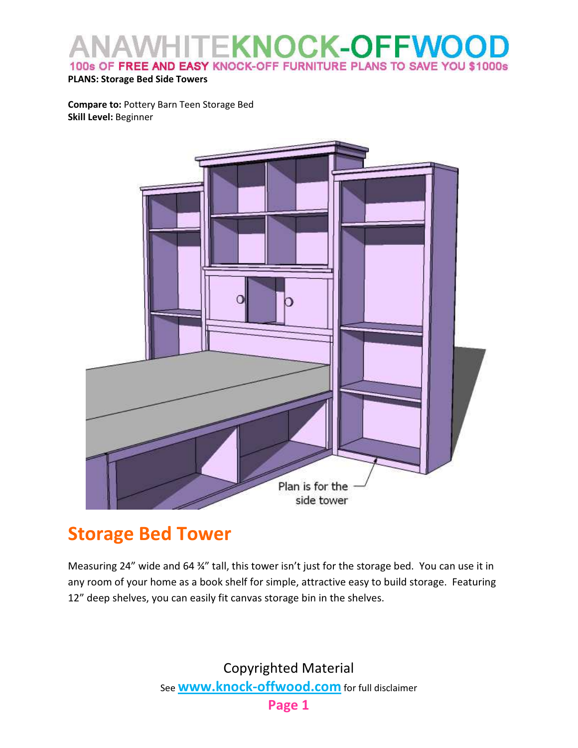#### **TEKNOCK-OFFWOC** 100s OF FREE AND EASY KNOCK-OFF FURNITURE PLANS TO SAVE YOU \$1000s

#### PLANS: Storage Bed Side Towers

Compare to: Pottery Barn Teen Storage Bed Skill Level: Beginner



#### Storage Bed Tower

Measuring 24" wide and 64 34" tall, this tower isn't just for the storage bed. You can use it in any room of your home as a book shelf for simple, attractive easy to build storage. Featuring 12" deep shelves, you can easily fit canvas storage bin in the shelves.

> Copyrighted Material See **www.knock-offwood.com** for full disclaimer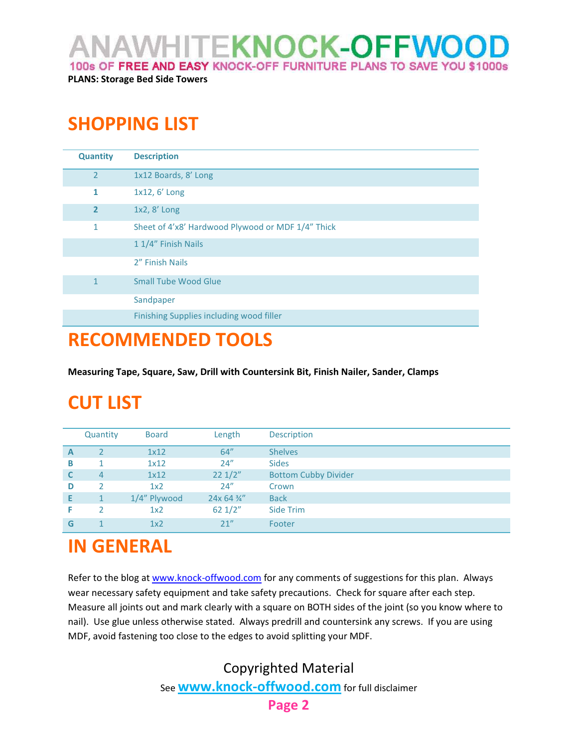ANAWHITE**KNOCK-OFFWOO**I

100s OF FREE AND EASY KNOCK-OFF FURNITURE PLANS TO SAVE YOU \$1000s

PLANS: Storage Bed Side Towers

### SHOPPING LIST

| <b>Quantity</b> | <b>Description</b>                                |  |  |
|-----------------|---------------------------------------------------|--|--|
| $\overline{2}$  | 1x12 Boards, 8' Long                              |  |  |
| 1               | 1x12, 6' Long                                     |  |  |
| $\overline{2}$  | 1x2, 8' Long                                      |  |  |
| 1               | Sheet of 4'x8' Hardwood Plywood or MDF 1/4" Thick |  |  |
|                 | 1 1/4" Finish Nails                               |  |  |
|                 | 2" Finish Nails                                   |  |  |
| 1               | <b>Small Tube Wood Glue</b>                       |  |  |
|                 | Sandpaper                                         |  |  |
|                 | Finishing Supplies including wood filler          |  |  |

#### RECOMMENDED TOOLS

Measuring Tape, Square, Saw, Drill with Countersink Bit, Finish Nailer, Sander, Clamps

## CUT LIST

|   | Quantity | <b>Board</b>    | Length           | <b>Description</b>          |
|---|----------|-----------------|------------------|-----------------------------|
| A |          | 1x12            | 64"              | <b>Shelves</b>              |
| B |          | 1x12            | 24''             | <b>Sides</b>                |
| C | 4        | 1x12            | $22 \frac{1}{2}$ | <b>Bottom Cubby Divider</b> |
| D | っ        | 1x <sub>2</sub> | 24''             | Crown                       |
| Е | 1        | 1/4" Plywood    | 24x 64 3/4"      | <b>Back</b>                 |
| F | 2        | 1x2             | 621/2"           | Side Trim                   |
| G |          | 1x2             | 21"              | Footer                      |

## IN GENERAL

Refer to the blog at www.knock-offwood.com for any comments of suggestions for this plan. Always wear necessary safety equipment and take safety precautions. Check for square after each step. Measure all joints out and mark clearly with a square on BOTH sides of the joint (so you know where to nail). Use glue unless otherwise stated. Always predrill and countersink any screws. If you are using MDF, avoid fastening too close to the edges to avoid splitting your MDF.

> Copyrighted Material See **www.knock-offwood.com** for full disclaimer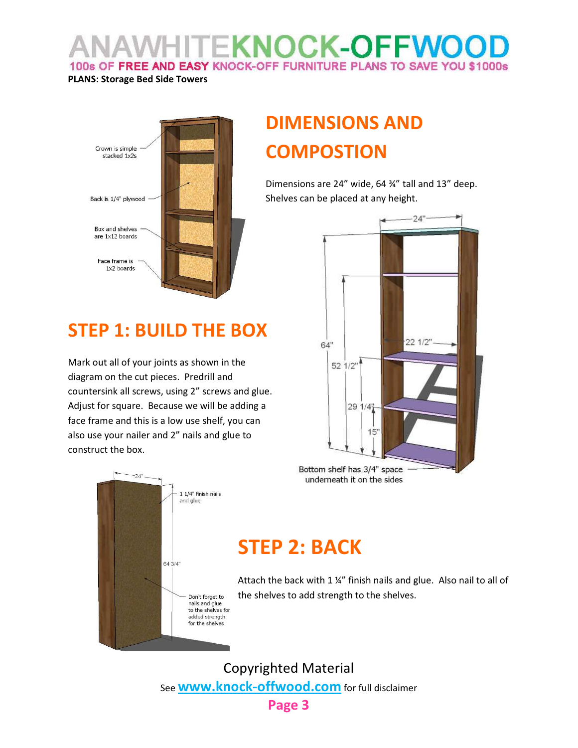## **VHITEKNOCK-OFFWOO** 100s OF FREE AND EASY KNOCK-OFF FURNITURE PLANS TO SAVE YOU \$1000s

#### PLANS: Storage Bed Side Towers



## STEP 1: BUILD THE BOX

Mark out all of your joints as shown in the diagram on the cut pieces. Predrill and countersink all screws, using 2" screws and glue. Adjust for square. Because we will be adding a face frame and this is a low use shelf, you can also use your nailer and 2" nails and glue to construct the box.

# DIMENSIONS AND **COMPOSTION**

Dimensions are 24" wide, 64 ¾" tall and 13" deep. Shelves can be placed at any height.



Bottom shelf has 3/4" space underneath it on the sides



## STEP 2: BACK

Attach the back with 1 ¼" finish nails and glue. Also nail to all of the shelves to add strength to the shelves.

Copyrighted Material See **www.knock-offwood.com** for full disclaimer

#### Page 3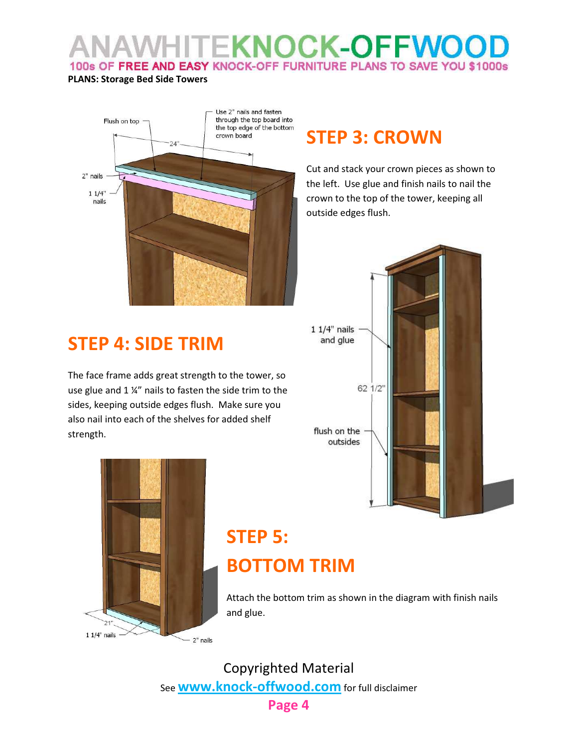#### **HITEKNOCK-OFFWOC** 100s OF FREE AND EASY KNOCK-OFF FURNITURE PLANS TO SAVE YOU \$1000s

#### PLANS: Storage Bed Side Towers



### STEP 3: CROWN

Cut and stack your crown pieces as shown to the left. Use glue and finish nails to nail the crown to the top of the tower, keeping all outside edges flush.



### STEP 4: SIDE TRIM

The face frame adds great strength to the tower, so use glue and 1 ¼" nails to fasten the side trim to the sides, keeping outside edges flush. Make sure you also nail into each of the shelves for added shelf strength.



## STEP 5: BOTTOM TRIM

Attach the bottom trim as shown in the diagram with finish nails and glue.

Copyrighted Material See **www.knock-offwood.com** for full disclaimer